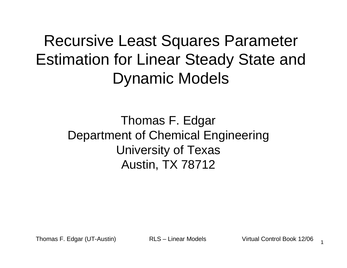Recursive Least Squares Parameter Estimation for Linear Steady State and Dynamic Models

> Thomas F. EdgarDepartment of Chemical EngineeringUniversity of TexasAustin, TX 78712

Thomas F. Edgar (UT-Austin) RLS – Linear Models Virtual Control Book 12/06

1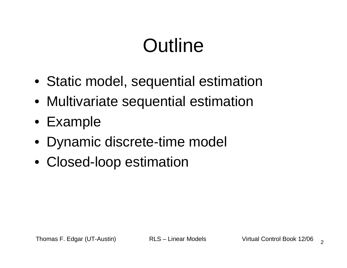# **Outline**

- Static model, sequential estimation
- Multivariate sequential estimation
- Example
- Dynamic discrete-time model
- Closed-loop estimation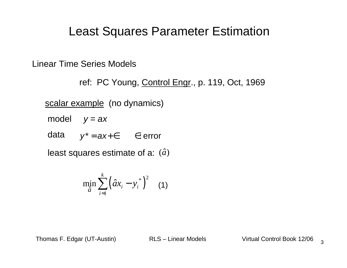#### Least Squares Parameter Estimation

Linear Time Series Models

ref: PC Young, Control Engr., p. 119, Oct, 1969

<u>scalar example</u> (no dynamics)

model  $y = ax$ 

data $y^* = ax + \in$   $\in$ : error

least squares estimate of a:  $(\hat{a})^{\dagger}$ 

$$
\min_{\hat{a}} \sum_{i=1}^{k} \left( \hat{a} x_i - y_i^* \right)^2 \quad (1)
$$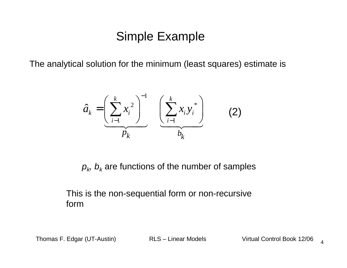#### Simple Example

The analytical solution for the minimum (least squares) estimate is

$$
\hat{a}_k = \left(\sum_{i=1}^k x_i^2\right)^{-1} \left(\sum_{i=1}^k x_i y_i^*\right)
$$
 (2)

 $\rho_{\scriptscriptstyle{k}},\, b_{\scriptscriptstyle{k}}$  are functions of the number of samples

#### This is the non-sequential form or non-recursive form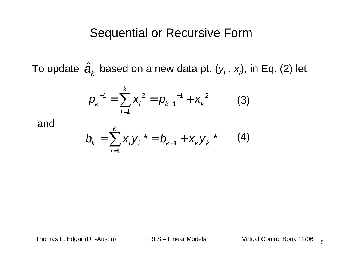#### Sequential or Recursive Form

To update  $\, {\boldsymbol a}_k \,$  based on a new data pt. ( ${\boldsymbol y}_i$  ,  ${\boldsymbol x}_i$  $\hat{\boldsymbol{a}}_{\!\scriptscriptstyle K}^{\phantom{\dag}}$  based on a new data pt.  $(\mathsf{y}_{\!_I}^{\phantom{\dag}},\,\mathsf{x}_{\!_I}^{\phantom{\dag}}\!)$ , in Eq. (2) let

$$
p_k^{-1} = \sum_{i=1}^k x_i^2 = p_{k-1}^{-1} + x_k^{-2}
$$
 (3)

and

$$
b_k = \sum_{i=1}^k x_i y_i^* = b_{k-1} + x_k y_k^* \qquad (4)
$$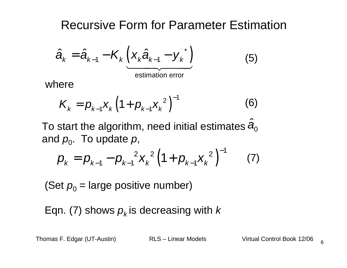Recursive Form for Parameter Estimation

$$
\hat{a}_{k} = \hat{a}_{k-1} - K_{k} \underbrace{\left(x_{k} \hat{a}_{k-1} - y_{k}^{*}\right)}_{\text{estimation error}}
$$
(5)

where

$$
K_{k} = p_{k-1} X_{k} \left( 1 + p_{k-1} X_{k}^{2} \right)^{-1}
$$
 (6)

To start the algorithm, need initial estimates and  $\rho_{\raisebox{-0.75pt}{\scriptsize o}}$ . To update  $\rho$ ,  $\hat{\boldsymbol{a}}_0$ 

$$
p_{k} = p_{k-1} - p_{k-1}^{2} x_{k}^{2} (1 + p_{k-1} x_{k}^{2})^{-1}
$$
 (7)

(Set  $\rho_{0}$  = large positive number)

Eqn. (7) shows  $\rho_{\scriptscriptstyle{k}}$ is decreasing with  $k$ 

Thomas F. Edgar (UT-Austin) RLS – Linear Models Virtual Control Book 12/06

6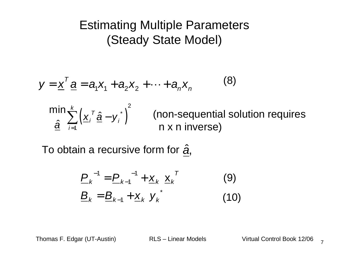#### Estimating Multiple Parameters(Steady State Model)

$$
y = \underline{x}^T \underline{a} = a_1 x_1 + a_2 x_2 + \dots + a_n x_n
$$
\n
$$
\min_{\underline{\hat{a}}} \sum_{i=1}^k \left( \underline{x}_i^T \underline{\hat{a}} - y_i^* \right)^2
$$
\n(non-sequential solution requires n x n inverse)

To obtain a recursive form for  $\hat{\boldsymbol{a}}$ ,

$$
\underline{P}_{k}^{-1} = \underline{P}_{k-1}^{-1} + \underline{x}_{k} \underline{x}_{k}^{T}
$$
(9)  

$$
\underline{B}_{k} = \underline{B}_{k-1} + \underline{x}_{k} y_{k}^{*}
$$
(10)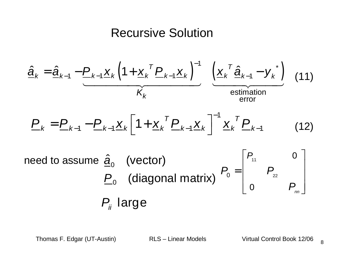#### Recursive Solution

$$
\frac{\hat{\mathbf{a}}_k = \hat{\mathbf{a}}_{k-1} - P_{k-1} \underline{\mathbf{x}}_k \left(1 + \underline{\mathbf{x}}_k^T P_{k-1} \underline{\mathbf{x}}_k\right)^{-1} \underbrace{\left(\underline{\mathbf{x}}_k^T \hat{\mathbf{a}}_{k-1} - \underline{\mathbf{y}}_k^*\right)}_{\text{estimation}}
$$
(11)  
\n
$$
P_k = P_{k-1} - P_{k-1} \underline{\mathbf{x}}_k \left[1 + \underline{\mathbf{x}}_k^T P_{k-1} \underline{\mathbf{x}}_k\right]^{-1} \underline{\mathbf{x}}_k^T P_{k-1}
$$
(12)  
\nneed to assume  $\hat{\mathbf{a}}_0$  (vector)  
\n $P_0$  (diagonal matrix)  
\n $P_0 = \begin{bmatrix} P_{11} & 0 \\ 0 & P_{22} \end{bmatrix}$   
\n $P_{ii}$  large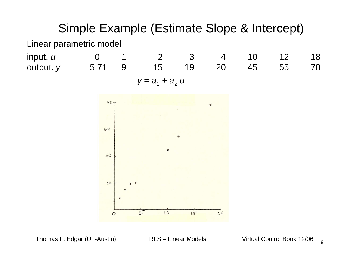#### Simple Example (Estimate Slope & Intercept)

Linear parametric model

input, *u* output, y

 <sup>0</sup> <sup>1</sup> <sup>2</sup> <sup>3</sup> <sup>4</sup> <sup>10</sup> <sup>12</sup> <sup>18</sup> 5.71 <sup>9</sup> <sup>15</sup> <sup>19</sup> <sup>20</sup> <sup>45</sup> <sup>55</sup> <sup>78</sup> $y = a_1 + a_2$  u

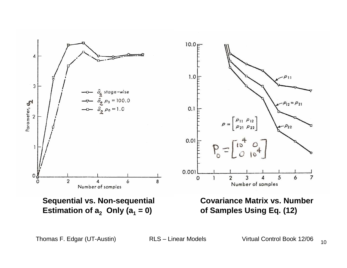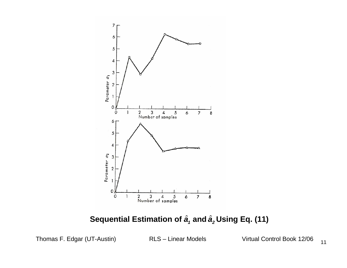

#### $\bf$  Sequential Estimation of  $\hat{\bm{a}}_{\scriptscriptstyle{1}}$  and  $\hat{\bm{a}}_{\scriptscriptstyle{2}}$  Using Eq. (11)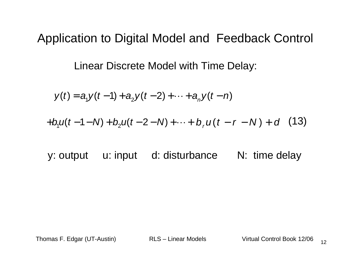#### Application to Digital Model and Feedback Control

Linear Discrete Model with Time Delay:

$$
y(t) = a_1 y(t-1) + a_2 y(t-2) + \cdots + a_n y(t-n)
$$

$$
+b_1u(t-1-N)+b_2u(t-2-N)+\cdots+b_ru(t-r-N)+d
$$
 (13)

y: output u: input d: disturbance N: time delay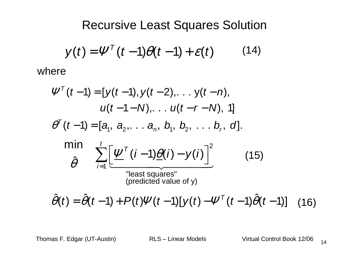Recursive Least Squares Solution

$$
y(t) = \Psi^{T}(t-1)\theta(t-1) + \varepsilon(t) \qquad (14)
$$

where

$$
\Psi^{T}(t-1) = [y(t-1), y(t-2), \dots y(t-n),\nu(t-1-N), \dots u(t-r-N), 1]\n\theta^{T}(t-1) = [a_{1}, a_{2}, \dots a_{n}, b_{1}, b_{2}, \dots b_{r}, d].\nmin\n\[\n\hat{\theta}\n\quad\n\sum_{i=1}^{t} \left[ \underline{\Psi}^{T}(i-1) \underline{\theta}(i) - y(i) \right]^{2}\n\quad (15)\n"least squares"\n(predicted value of y)\n
$$
\hat{\theta}(t) = \hat{\theta}(t-1) + P(t)\Psi(t-1)[y(t) - \Psi^{T}(t-1)\hat{\theta}(t-1)]\n\tag{16}
$$
$$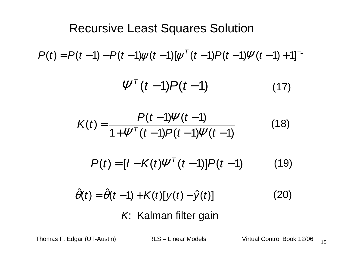## $P(t) = P(t-1) - P(t-1)\psi(t-1)[\psi^{\top}(t-1)P(t-1)\Psi(t-1)+1]^{-1}$  $\tau(t-1) P(t-1)$  $\Psi'(t-1)P(t-1)$ Recursive Least Squares Solution(17)

$$
K(t) = \frac{P(t-1)\Psi(t-1)}{1 + \Psi^{T}(t-1)P(t-1)\Psi(t-1)}
$$
(18)

$$
P(t) = [I - K(t) \Psi^{T} (t-1)] P(t-1)
$$
 (19)

$$
\hat{\theta}(t) = \hat{\theta}(t-1) + K(t)[y(t) - \hat{y}(t)]
$$
\n(20)  
\nK: Kalman filter gain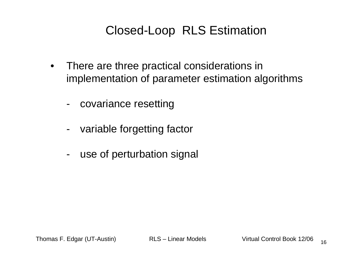## Closed-Loop RLS Estimation

- • There are three practical considerations in implementation of parameter estimation algorithms
	- covariance resetting
	- variable forgetting factor
	- use of perturbation signal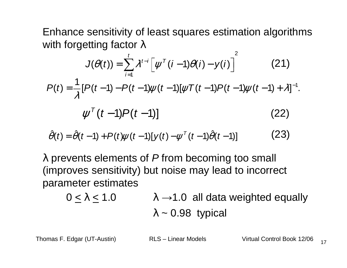Enhance sensitivity of least squares estimation algorithmswith forgetting factor  $\lambda$ 

$$
J(\theta(t)) = \sum_{i=1}^{t} \lambda^{t-i} \left[ \psi^{T}(i-1)\theta(i) - y(i) \right]^{2}
$$
(21)  

$$
P(t) = \frac{1}{\lambda} [P(t-1) - P(t-1)\psi(t-1)[\psi T(t-1)P(t-1)\psi(t-1) + \lambda]^{-1}.
$$

$$
\psi^{T}(t-1)P(t-1)]
$$
(22)

$$
\hat{\theta}(t) = \hat{\theta}(t-1) + P(t)\psi(t-1)[y(t) - \psi^{T}(t-1)\hat{\theta}(t-1)] \qquad (23)
$$

λ prevents elements of P from becoming too small (improves sensitivity) but noise may lead to incorrectparameter estimates

$$
0 \le \lambda \le 1.0
$$
  
\n
$$
\lambda \to 1.0
$$
 all data weighted equally  
\n
$$
\lambda \sim 0.98
$$
 typical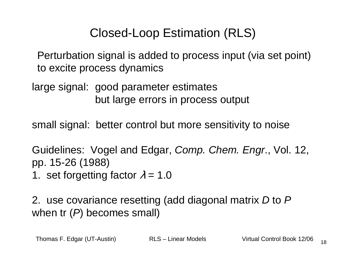## Closed-Loop Estimation (RLS)

Perturbation signal is added to process input (via set point)to excite process dynamics

large signal: good parameter estimatesbut large errors in process output

small signal: better control but more sensitivity to noise

Guidelines: Vogel and Edgar, Comp. Chem. Engr., Vol. 12, pp. 15-26 (1988)1. set forgetting factor  $\lambda$  = 1.0

2. use covariance resetting (add diagonal matrix *D* to *P*<br>when the Contractors are all when tr  $(P)$  becomes small)